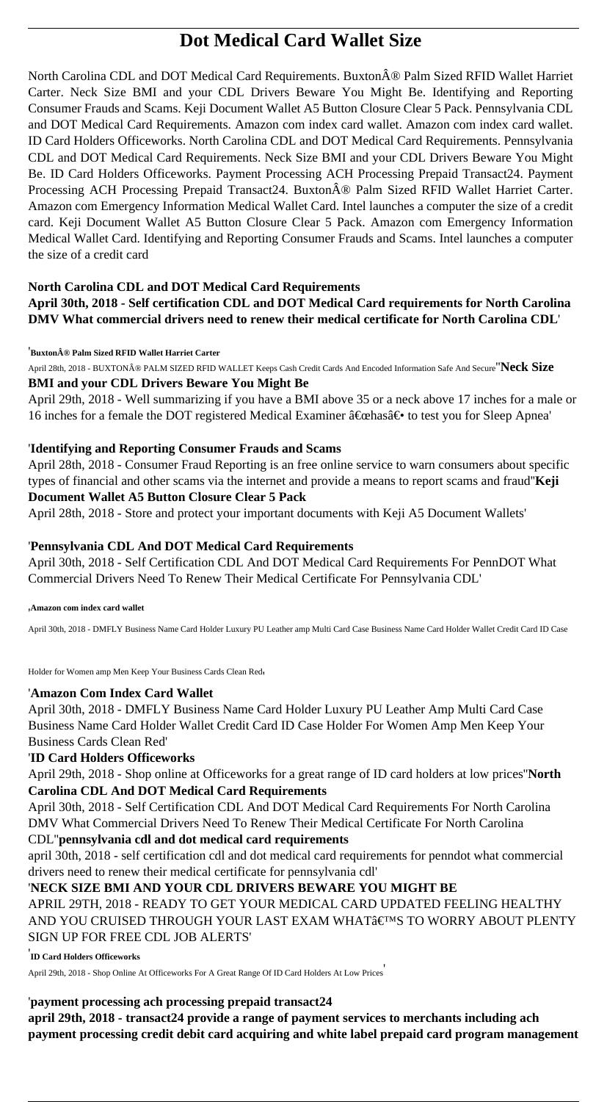# **Dot Medical Card Wallet Size**

North Carolina CDL and DOT Medical Card Requirements. Buxton® Palm Sized RFID Wallet Harriet Carter. Neck Size BMI and your CDL Drivers Beware You Might Be. Identifying and Reporting Consumer Frauds and Scams. Keji Document Wallet A5 Button Closure Clear 5 Pack. Pennsylvania CDL and DOT Medical Card Requirements. Amazon com index card wallet. Amazon com index card wallet. ID Card Holders Officeworks. North Carolina CDL and DOT Medical Card Requirements. Pennsylvania CDL and DOT Medical Card Requirements. Neck Size BMI and your CDL Drivers Beware You Might Be. ID Card Holders Officeworks. Payment Processing ACH Processing Prepaid Transact24. Payment Processing ACH Processing Prepaid Transact24. Buxton® Palm Sized RFID Wallet Harriet Carter. Amazon com Emergency Information Medical Wallet Card. Intel launches a computer the size of a credit card. Keji Document Wallet A5 Button Closure Clear 5 Pack. Amazon com Emergency Information Medical Wallet Card. Identifying and Reporting Consumer Frauds and Scams. Intel launches a computer the size of a credit card

## **North Carolina CDL and DOT Medical Card Requirements**

**April 30th, 2018 - Self certification CDL and DOT Medical Card requirements for North Carolina DMV What commercial drivers need to renew their medical certificate for North Carolina CDL**'

'**Buxton® Palm Sized RFID Wallet Harriet Carter**

April 28th, 2018 - BUXTON® PALM SIZED RFID WALLET Keeps Cash Credit Cards And Encoded Information Safe And Secure<sup>''</sup>Neck Size **BMI and your CDL Drivers Beware You Might Be**

April 29th, 2018 - Well summarizing if you have a BMI above 35 or a neck above 17 inches for a male or 16 inches for a female the DOT registered Medical Examiner  $\hat{a} \in \text{cehas}\hat{a} \in \bullet$  to test you for Sleep Apnea'

## '**Identifying and Reporting Consumer Frauds and Scams**

April 28th, 2018 - Consumer Fraud Reporting is an free online service to warn consumers about specific types of financial and other scams via the internet and provide a means to report scams and fraud''**Keji Document Wallet A5 Button Closure Clear 5 Pack**

April 28th, 2018 - Store and protect your important documents with Keji A5 Document Wallets'

# '**Pennsylvania CDL And DOT Medical Card Requirements**

April 30th, 2018 - Self Certification CDL And DOT Medical Card Requirements For PennDOT What Commercial Drivers Need To Renew Their Medical Certificate For Pennsylvania CDL'

#### '**Amazon com index card wallet**

April 30th, 2018 - DMFLY Business Name Card Holder Luxury PU Leather amp Multi Card Case Business Name Card Holder Wallet Credit Card ID Case

Holder for Women amp Men Keep Your Business Cards Clean Red'

# '**Amazon Com Index Card Wallet**

April 30th, 2018 - DMFLY Business Name Card Holder Luxury PU Leather Amp Multi Card Case Business Name Card Holder Wallet Credit Card ID Case Holder For Women Amp Men Keep Your Business Cards Clean Red'

# '**ID Card Holders Officeworks**

April 29th, 2018 - Shop online at Officeworks for a great range of ID card holders at low prices''**North Carolina CDL And DOT Medical Card Requirements**

April 30th, 2018 - Self Certification CDL And DOT Medical Card Requirements For North Carolina DMV What Commercial Drivers Need To Renew Their Medical Certificate For North Carolina

# CDL''**pennsylvania cdl and dot medical card requirements**

april 30th, 2018 - self certification cdl and dot medical card requirements for penndot what commercial drivers need to renew their medical certificate for pennsylvania cdl'

#### '**NECK SIZE BMI AND YOUR CDL DRIVERS BEWARE YOU MIGHT BE**

APRIL 29TH, 2018 - READY TO GET YOUR MEDICAL CARD UPDATED FEELING HEALTHY AND YOU CRUISED THROUGH YOUR LAST EXAM WHAT'S TO WORRY ABOUT PLENTY SIGN UP FOR FREE CDL JOB ALERTS'

' **ID Card Holders Officeworks**

April 29th, 2018 - Shop Online At Officeworks For A Great Range Of ID Card Holders At Low Prices'

# '**payment processing ach processing prepaid transact24**

**april 29th, 2018 - transact24 provide a range of payment services to merchants including ach payment processing credit debit card acquiring and white label prepaid card program management**